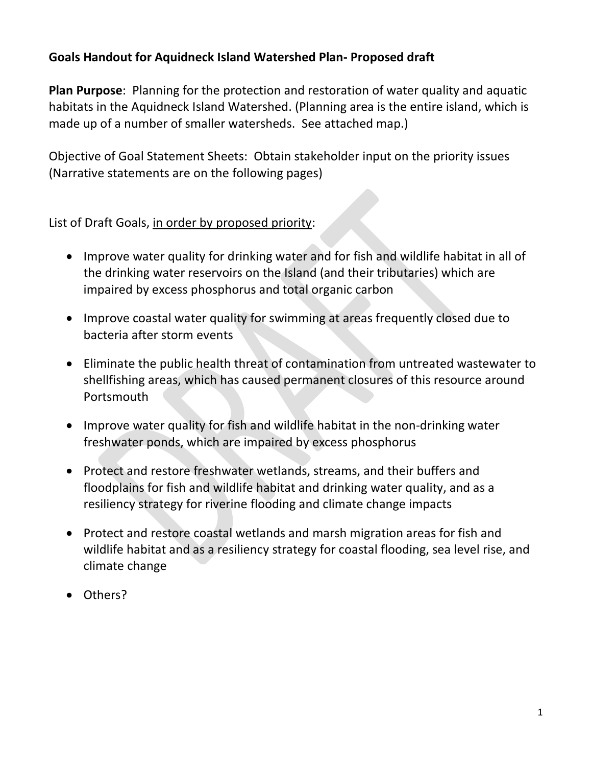#### **Goals Handout for Aquidneck Island Watershed Plan- Proposed draft**

**Plan Purpose**: Planning for the protection and restoration of water quality and aquatic habitats in the Aquidneck Island Watershed. (Planning area is the entire island, which is made up of a number of smaller watersheds. See attached map.)

Objective of Goal Statement Sheets: Obtain stakeholder input on the priority issues (Narrative statements are on the following pages)

List of Draft Goals, in order by proposed priority:

- Improve water quality for drinking water and for fish and wildlife habitat in all of the drinking water reservoirs on the Island (and their tributaries) which are impaired by excess phosphorus and total organic carbon
- Improve coastal water quality for swimming at areas frequently closed due to bacteria after storm events
- Eliminate the public health threat of contamination from untreated wastewater to shellfishing areas, which has caused permanent closures of this resource around Portsmouth
- Improve water quality for fish and wildlife habitat in the non-drinking water freshwater ponds, which are impaired by excess phosphorus
- Protect and restore freshwater wetlands, streams, and their buffers and floodplains for fish and wildlife habitat and drinking water quality, and as a resiliency strategy for riverine flooding and climate change impacts
- Protect and restore coastal wetlands and marsh migration areas for fish and wildlife habitat and as a resiliency strategy for coastal flooding, sea level rise, and climate change
- Others?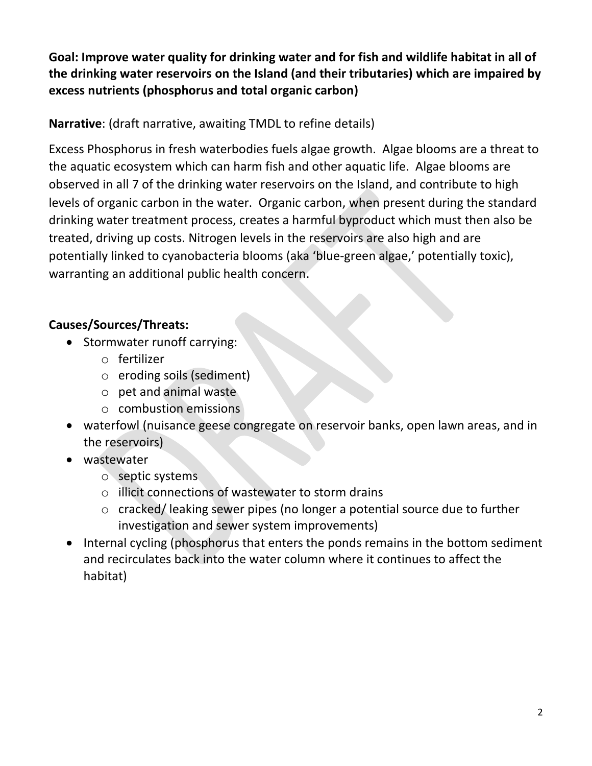**Goal: Improve water quality for drinking water and for fish and wildlife habitat in all of the drinking water reservoirs on the Island (and their tributaries) which are impaired by excess nutrients (phosphorus and total organic carbon)**

**Narrative**: (draft narrative, awaiting TMDL to refine details)

Excess Phosphorus in fresh waterbodies fuels algae growth. Algae blooms are a threat to the aquatic ecosystem which can harm fish and other aquatic life. Algae blooms are observed in all 7 of the drinking water reservoirs on the Island, and contribute to high levels of organic carbon in the water. Organic carbon, when present during the standard drinking water treatment process, creates a harmful byproduct which must then also be treated, driving up costs. Nitrogen levels in the reservoirs are also high and are potentially linked to cyanobacteria blooms (aka 'blue-green algae,' potentially toxic), warranting an additional public health concern.

# **Causes/Sources/Threats:**

- Stormwater runoff carrying:
	- o fertilizer
	- o eroding soils (sediment)
	- o pet and animal waste
	- o combustion emissions
- waterfowl (nuisance geese congregate on reservoir banks, open lawn areas, and in the reservoirs)
- wastewater
	- o septic systems
	- o illicit connections of wastewater to storm drains
	- o cracked/ leaking sewer pipes (no longer a potential source due to further investigation and sewer system improvements)
- Internal cycling (phosphorus that enters the ponds remains in the bottom sediment and recirculates back into the water column where it continues to affect the habitat)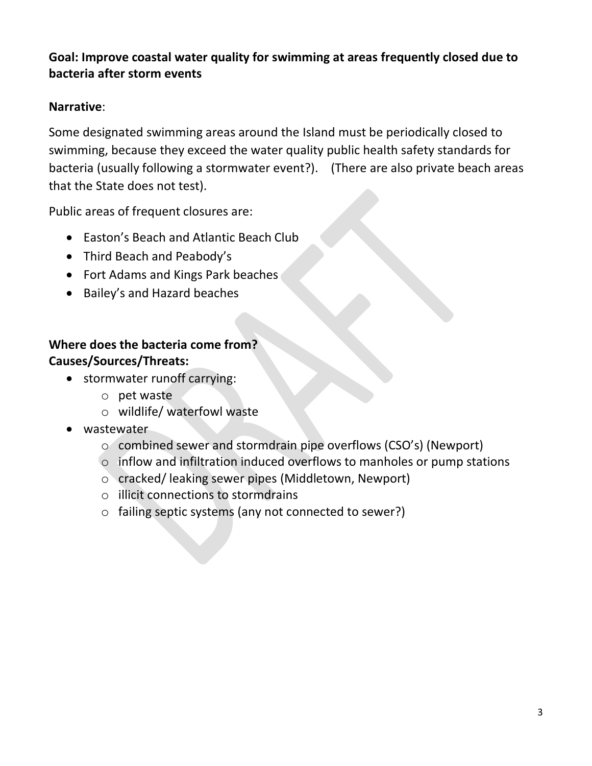#### **Goal: Improve coastal water quality for swimming at areas frequently closed due to bacteria after storm events**

#### **Narrative**:

Some designated swimming areas around the Island must be periodically closed to swimming, because they exceed the water quality public health safety standards for bacteria (usually following a stormwater event?). (There are also private beach areas that the State does not test).

Public areas of frequent closures are:

- Easton's Beach and Atlantic Beach Club
- Third Beach and Peabody's
- Fort Adams and Kings Park beaches
- Bailey's and Hazard beaches

# **Where does the bacteria come from? Causes/Sources/Threats:**

- stormwater runoff carrying:
	- o pet waste
	- o wildlife/ waterfowl waste
- wastewater
	- o combined sewer and stormdrain pipe overflows (CSO's) (Newport)
	- o inflow and infiltration induced overflows to manholes or pump stations
	- o cracked/ leaking sewer pipes (Middletown, Newport)
	- o illicit connections to stormdrains
	- o failing septic systems (any not connected to sewer?)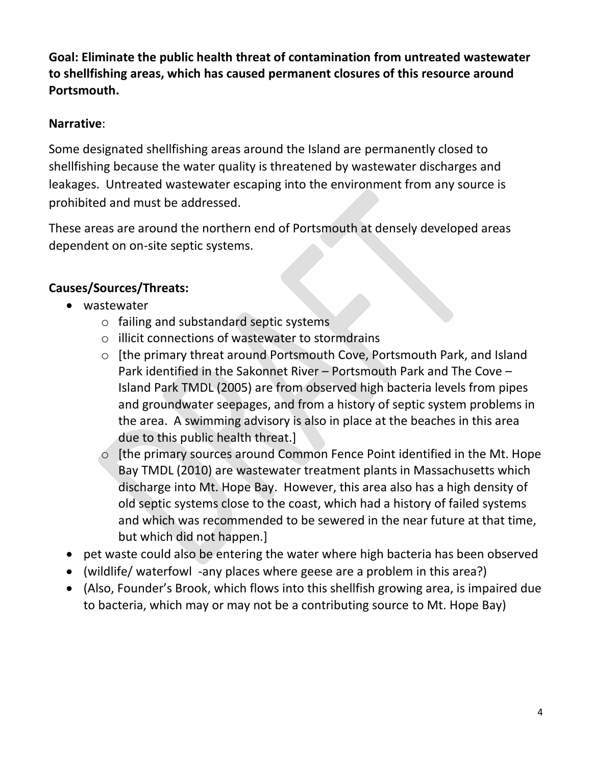**Goal: Eliminate the public health threat of contamination from untreated wastewater to shellfishing areas, which has caused permanent closures of this resource around Portsmouth.** 

### **Narrative**:

Some designated shellfishing areas around the Island are permanently closed to shellfishing because the water quality is threatened by wastewater discharges and leakages. Untreated wastewater escaping into the environment from any source is prohibited and must be addressed.

These areas are around the northern end of Portsmouth at densely developed areas dependent on on-site septic systems.

# **Causes/Sources/Threats:**

- wastewater
	- o failing and substandard septic systems
	- o illicit connections of wastewater to stormdrains
	- o [the primary threat around Portsmouth Cove, Portsmouth Park, and Island Park identified in the Sakonnet River – Portsmouth Park and The Cove – Island Park TMDL (2005) are from observed high bacteria levels from pipes and groundwater seepages, and from a history of septic system problems in the area. A swimming advisory is also in place at the beaches in this area due to this public health threat.]
	- o [the primary sources around Common Fence Point identified in the Mt. Hope Bay TMDL (2010) are wastewater treatment plants in Massachusetts which discharge into Mt. Hope Bay. However, this area also has a high density of old septic systems close to the coast, which had a history of failed systems and which was recommended to be sewered in the near future at that time, but which did not happen.]
- pet waste could also be entering the water where high bacteria has been observed
- (wildlife/ waterfowl -any places where geese are a problem in this area?)
- (Also, Founder's Brook, which flows into this shellfish growing area, is impaired due to bacteria, which may or may not be a contributing source to Mt. Hope Bay)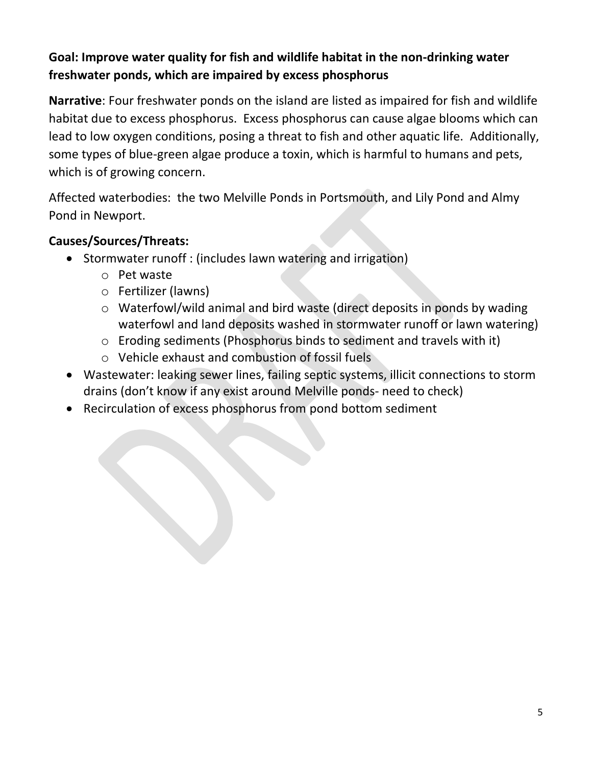# **Goal: Improve water quality for fish and wildlife habitat in the non-drinking water freshwater ponds, which are impaired by excess phosphorus**

**Narrative**: Four freshwater ponds on the island are listed as impaired for fish and wildlife habitat due to excess phosphorus. Excess phosphorus can cause algae blooms which can lead to low oxygen conditions, posing a threat to fish and other aquatic life. Additionally, some types of blue-green algae produce a toxin, which is harmful to humans and pets, which is of growing concern.

Affected waterbodies: the two Melville Ponds in Portsmouth, and Lily Pond and Almy Pond in Newport.

#### **Causes/Sources/Threats:**

- Stormwater runoff : (includes lawn watering and irrigation)
	- o Pet waste
	- o Fertilizer (lawns)
	- o Waterfowl/wild animal and bird waste (direct deposits in ponds by wading waterfowl and land deposits washed in stormwater runoff or lawn watering)
	- o Eroding sediments (Phosphorus binds to sediment and travels with it)
	- o Vehicle exhaust and combustion of fossil fuels
- Wastewater: leaking sewer lines, failing septic systems, illicit connections to storm drains (don't know if any exist around Melville ponds- need to check)
- Recirculation of excess phosphorus from pond bottom sediment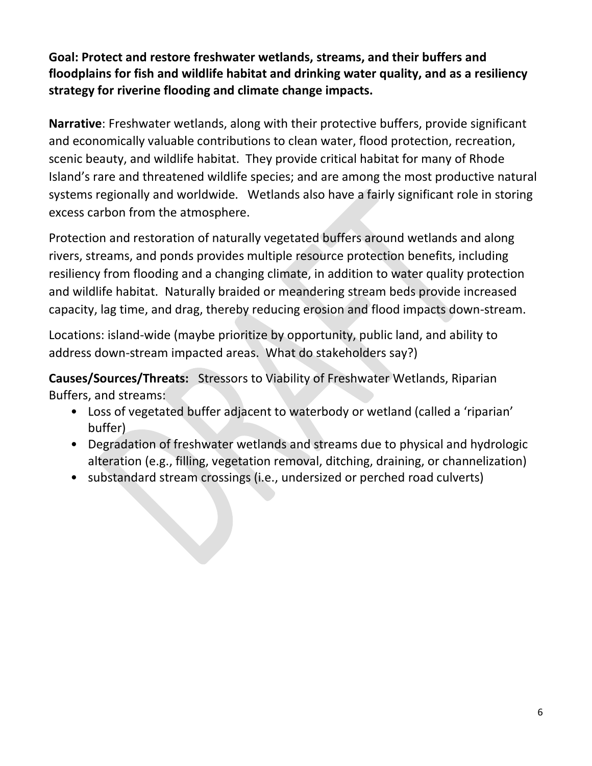**Goal: Protect and restore freshwater wetlands, streams, and their buffers and floodplains for fish and wildlife habitat and drinking water quality, and as a resiliency strategy for riverine flooding and climate change impacts.**

**Narrative**: Freshwater wetlands, along with their protective buffers, provide significant and economically valuable contributions to clean water, flood protection, recreation, scenic beauty, and wildlife habitat. They provide critical habitat for many of Rhode Island's rare and threatened wildlife species; and are among the most productive natural systems regionally and worldwide. Wetlands also have a fairly significant role in storing excess carbon from the atmosphere.

Protection and restoration of naturally vegetated buffers around wetlands and along rivers, streams, and ponds provides multiple resource protection benefits, including resiliency from flooding and a changing climate, in addition to water quality protection and wildlife habitat. Naturally braided or meandering stream beds provide increased capacity, lag time, and drag, thereby reducing erosion and flood impacts down-stream.

Locations: island-wide (maybe prioritize by opportunity, public land, and ability to address down-stream impacted areas. What do stakeholders say?)

**Causes/Sources/Threats:** Stressors to Viability of Freshwater Wetlands, Riparian Buffers, and streams:

- Loss of vegetated buffer adjacent to waterbody or wetland (called a 'riparian' buffer)
- Degradation of freshwater wetlands and streams due to physical and hydrologic alteration (e.g., filling, vegetation removal, ditching, draining, or channelization)
- substandard stream crossings (i.e., undersized or perched road culverts)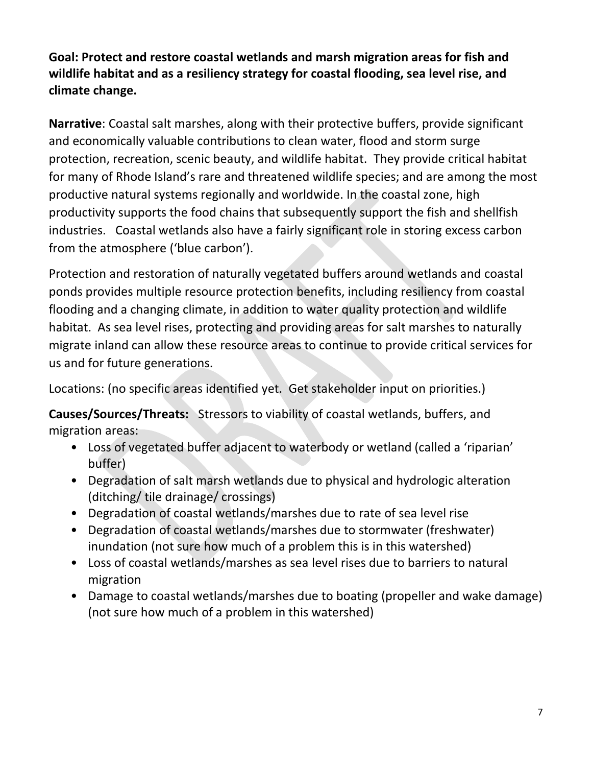**Goal: Protect and restore coastal wetlands and marsh migration areas for fish and wildlife habitat and as a resiliency strategy for coastal flooding, sea level rise, and climate change.**

**Narrative**: Coastal salt marshes, along with their protective buffers, provide significant and economically valuable contributions to clean water, flood and storm surge protection, recreation, scenic beauty, and wildlife habitat. They provide critical habitat for many of Rhode Island's rare and threatened wildlife species; and are among the most productive natural systems regionally and worldwide. In the coastal zone, high productivity supports the food chains that subsequently support the fish and shellfish industries. Coastal wetlands also have a fairly significant role in storing excess carbon from the atmosphere ('blue carbon').

Protection and restoration of naturally vegetated buffers around wetlands and coastal ponds provides multiple resource protection benefits, including resiliency from coastal flooding and a changing climate, in addition to water quality protection and wildlife habitat. As sea level rises, protecting and providing areas for salt marshes to naturally migrate inland can allow these resource areas to continue to provide critical services for us and for future generations.

Locations: (no specific areas identified yet. Get stakeholder input on priorities.)

**Causes/Sources/Threats:** Stressors to viability of coastal wetlands, buffers, and migration areas:

- Loss of vegetated buffer adjacent to waterbody or wetland (called a 'riparian' buffer)
- Degradation of salt marsh wetlands due to physical and hydrologic alteration (ditching/ tile drainage/ crossings)
- Degradation of coastal wetlands/marshes due to rate of sea level rise
- Degradation of coastal wetlands/marshes due to stormwater (freshwater) inundation (not sure how much of a problem this is in this watershed)
- Loss of coastal wetlands/marshes as sea level rises due to barriers to natural migration
- Damage to coastal wetlands/marshes due to boating (propeller and wake damage) (not sure how much of a problem in this watershed)